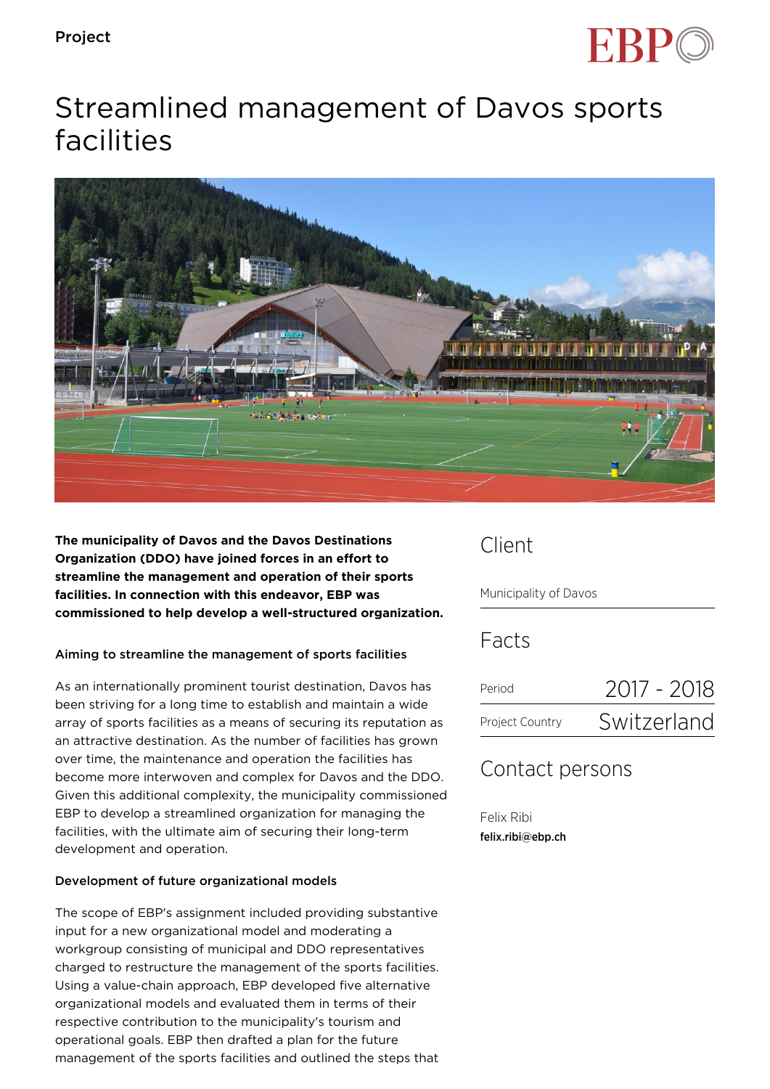

# Streamlined management of Davos sports facilities



**The municipality of Davos and the Davos Destinations Organization (DDO) have joined forces in an effort to streamline the management and operation of their sports facilities. In connection with this endeavor, EBP was commissioned to help develop a well-structured organization.**

### Aiming to streamline the management of sports facilities

As an internationally prominent tourist destination, Davos has been striving for a long time to establish and maintain a wide array of sports facilities as a means of securing its reputation as an attractive destination. As the number of facilities has grown over time, the maintenance and operation the facilities has become more interwoven and complex for Davos and the DDO. Given this additional complexity, the municipality commissioned EBP to develop a streamlined organization for managing the facilities, with the ultimate aim of securing their long-term development and operation.

#### Development of future organizational models

The scope of EBP's assignment included providing substantive input for a new organizational model and moderating a workgroup consisting of municipal and DDO representatives charged to restructure the management of the sports facilities. Using a value-chain approach, EBP developed five alternative organizational models and evaluated them in terms of their respective contribution to the municipality's tourism and operational goals. EBP then drafted a plan for the future management of the sports facilities and outlined the steps that

### Client

Municipality of Davos

Facts

| Period          | 2017 - 2018 |
|-----------------|-------------|
| Project Country | Switzerland |

## Contact persons

Felix Ribi felix.ribi@ebp.ch